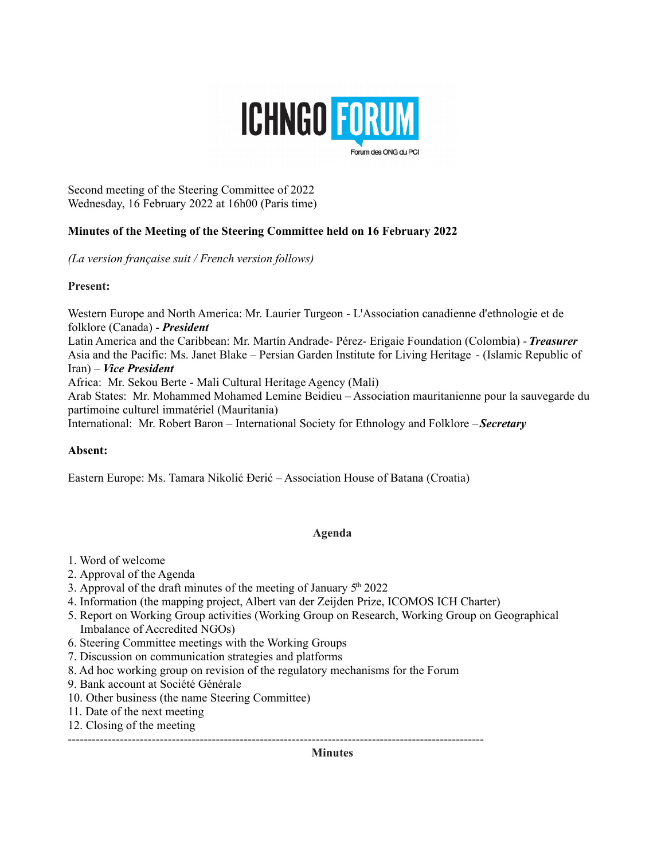

Second meeting of the Steering Committee of 2022 Wednesday, 16 February 2022 at 16h00 (Paris time)

# **Minutes of the Meeting of the Steering Committee held on 16 February 2022**

*(La version française suit / French version follows)*

### **Present:**

Western Europe and North America: Mr. Laurier Turgeon - L'Association canadienne d'ethnologie et de folklore (Canada) - *President*

Latin America and the Caribbean: Mr. Martín Andrade- Pérez- Erigaie Foundation (Colombia) - *Treasurer* Asia and the Pacific: Ms. Janet Blake – Persian Garden Institute for Living Heritage - (Islamic Republic of Iran) – *Vice President*

Africa: Mr. Sekou Berte - Mali Cultural Heritage Agency (Mali)

Arab States: Mr. Mohammed Mohamed Lemine Beidieu – Association mauritanienne pour la sauvegarde du partimoine culturel immatériel (Mauritania)

International: Mr. Robert Baron – International Society for Ethnology and Folklore – *Secretary*

# **Absent:**

Eastern Europe: Ms. Tamara Nikolić Đerić – Association House of Batana (Croatia)

#### **Agenda**

- 1. Word of welcome
- 2. Approval of the Agenda
- 3. Approval of the draft minutes of the meeting of January  $5<sup>th</sup> 2022$
- 4. Information (the mapping project, Albert van der Zeijden Prize, ICOMOS ICH Charter)
- 5. Report on Working Group activities (Working Group on Research, Working Group on Geographical Imbalance of Accredited NGOs)
- 6. Steering Committee meetings with the Working Groups
- 7. Discussion on communication strategies and platforms
- 8. Ad hoc working group on revision of the regulatory mechanisms for the Forum
- 9. Bank account at Société Générale
- 10. Other business (the name Steering Committee)
- 11. Date of the next meeting
- 12. Closing of the meeting

--------------------------------------------------------------------------------------------------------

**Minutes**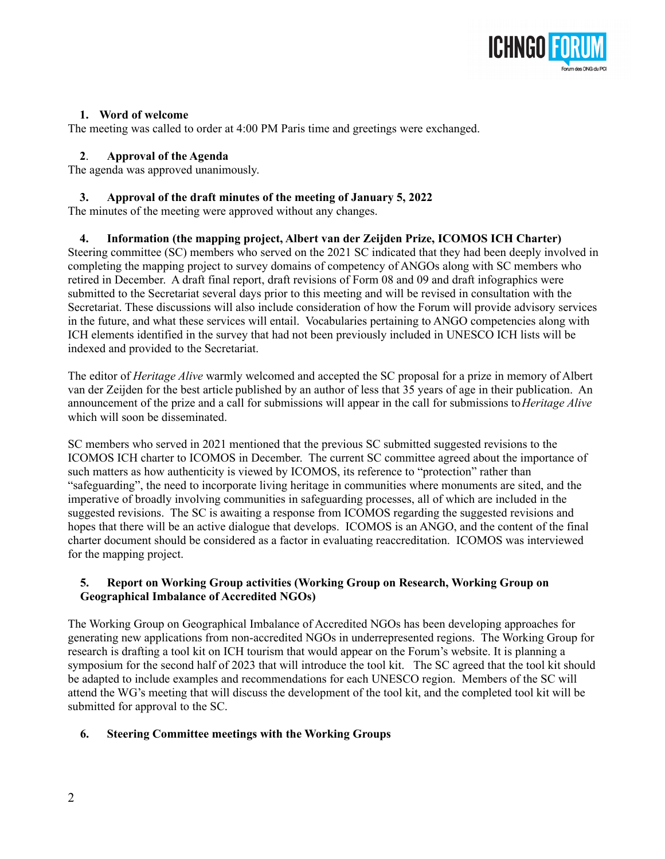

## **1. Word of welcome**

The meeting was called to order at 4:00 PM Paris time and greetings were exchanged.

### **2**. **Approval of the Agenda**

The agenda was approved unanimously.

### **3. Approval of the draft minutes of the meeting of January 5, 2022**

The minutes of the meeting were approved without any changes.

# **4. Information (the mapping project, Albert van der Zeijden Prize, ICOMOS ICH Charter)**

Steering committee (SC) members who served on the 2021 SC indicated that they had been deeply involved in completing the mapping project to survey domains of competency of ANGOs along with SC members who retired in December. A draft final report, draft revisions of Form 08 and 09 and draft infographics were submitted to the Secretariat several days prior to this meeting and will be revised in consultation with the Secretariat. These discussions will also include consideration of how the Forum will provide advisory services in the future, and what these services will entail. Vocabularies pertaining to ANGO competencies along with ICH elements identified in the survey that had not been previously included in UNESCO ICH lists will be indexed and provided to the Secretariat.

The editor of *Heritage Alive* warmly welcomed and accepted the SC proposal for a prize in memory of Albert van der Zeijden for the best article published by an author of less that 35 years of age in their publication. An announcement of the prize and a call for submissions will appear in the call for submissions to *Heritage Alive* which will soon be disseminated.

SC members who served in 2021 mentioned that the previous SC submitted suggested revisions to the ICOMOS ICH charter to ICOMOS in December. The current SC committee agreed about the importance of such matters as how authenticity is viewed by ICOMOS, its reference to "protection" rather than "safeguarding", the need to incorporate living heritage in communities where monuments are sited, and the imperative of broadly involving communities in safeguarding processes, all of which are included in the suggested revisions. The SC is awaiting a response from ICOMOS regarding the suggested revisions and hopes that there will be an active dialogue that develops. ICOMOS is an ANGO, and the content of the final charter document should be considered as a factor in evaluating reaccreditation. ICOMOS was interviewed for the mapping project.

# **5. Report on Working Group activities (Working Group on Research, Working Group on Geographical Imbalance of Accredited NGOs)**

The Working Group on Geographical Imbalance of Accredited NGOs has been developing approaches for generating new applications from non-accredited NGOs in underrepresented regions. The Working Group for research is drafting a tool kit on ICH tourism that would appear on the Forum's website. It is planning a symposium for the second half of 2023 that will introduce the tool kit. The SC agreed that the tool kit should be adapted to include examples and recommendations for each UNESCO region. Members of the SC will attend the WG's meeting that will discuss the development of the tool kit, and the completed tool kit will be submitted for approval to the SC.

# **6. Steering Committee meetings with the Working Groups**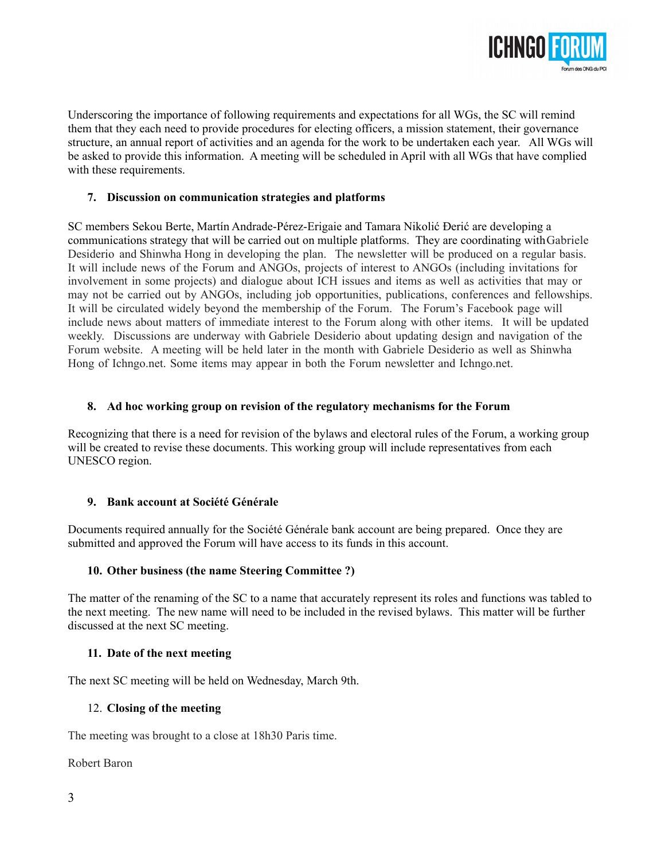

Underscoring the importance of following requirements and expectations for all WGs, the SC will remind them that they each need to provide procedures for electing officers, a mission statement, their governance structure, an annual report of activities and an agenda for the work to be undertaken each year. All WGs will be asked to provide this information. A meeting will be scheduled in April with all WGs that have complied with these requirements.

### **7. Discussion on communication strategies and platforms**

SC members Sekou Berte, Martín Andrade-Pérez-Erigaie and Tamara Nikolić Đerić are developing a communications strategy that will be carried out on multiple platforms. They are coordinating with Gabriele Desiderio and Shinwha Hong in developing the plan. The newsletter will be produced on a regular basis. It will include news of the Forum and ANGOs, projects of interest to ANGOs (including invitations for involvement in some projects) and dialogue about ICH issues and items as well as activities that may or may not be carried out by ANGOs, including job opportunities, publications, conferences and fellowships. It will be circulated widely beyond the membership of the Forum. The Forum's Facebook page will include news about matters of immediate interest to the Forum along with other items. It will be updated weekly. Discussions are underway with Gabriele Desiderio about updating design and navigation of the Forum website. A meeting will be held later in the month with Gabriele Desiderio as well as Shinwha Hong of Ichngo.net. Some items may appear in both the Forum newsletter and Ichngo.net.

### **8. Ad hoc working group on revision of the regulatory mechanisms for the Forum**

Recognizing that there is a need for revision of the bylaws and electoral rules of the Forum, a working group will be created to revise these documents. This working group will include representatives from each UNESCO region.

# **9. Bank account at Société Générale**

Documents required annually for the Société Générale bank account are being prepared. Once they are submitted and approved the Forum will have access to its funds in this account.

#### **10. Other business (the name Steering Committee ?)**

The matter of the renaming of the SC to a name that accurately represent its roles and functions was tabled to the next meeting. The new name will need to be included in the revised bylaws. This matter will be further discussed at the next SC meeting.

#### **11. Date of the next meeting**

The next SC meeting will be held on Wednesday, March 9th.

#### 12. **Closing of the meeting**

The meeting was brought to a close at 18h30 Paris time.

Robert Baron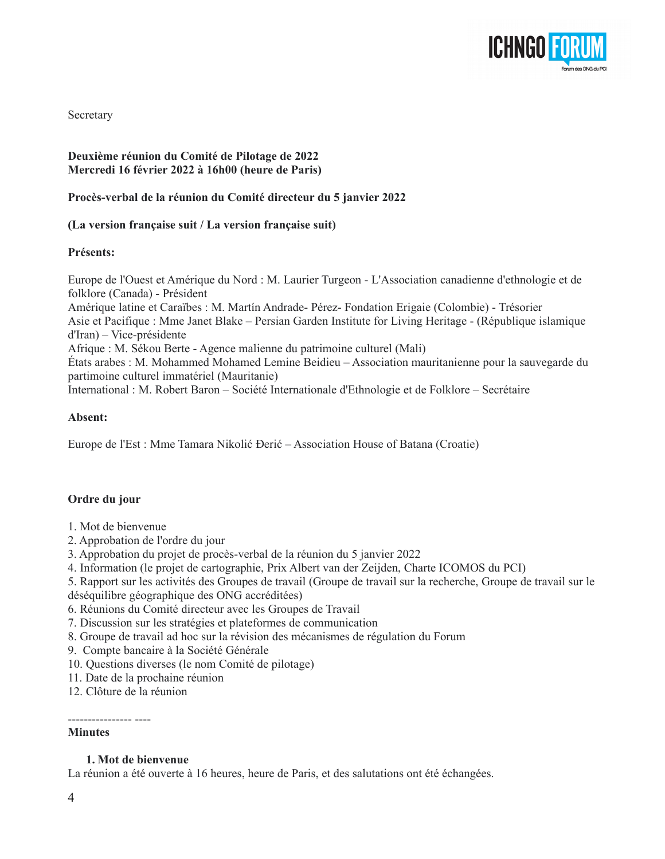

**Secretary** 

# **Deuxième réunion du Comité de Pilotage de 2022 Mercredi 16 février 2022 à 16h00 (heure de Paris)**

#### **Procès-verbal de la réunion du Comité directeur du 5 janvier 2022**

#### **(La version française suit / La version française suit)**

#### **Présents:**

Europe de l'Ouest et Amérique du Nord : M. Laurier Turgeon - L'Association canadienne d'ethnologie et de folklore (Canada) - Président Amérique latine et Caraïbes : M. Martín Andrade- Pérez- Fondation Erigaie (Colombie) - Trésorier Asie et Pacifique : Mme Janet Blake – Persian Garden Institute for Living Heritage - (République islamique

d'Iran) – Vice-présidente

Afrique : M. Sékou Berte - Agence malienne du patrimoine culturel (Mali)

États arabes : M. Mohammed Mohamed Lemine Beidieu – Association mauritanienne pour la sauvegarde du partimoine culturel immatériel (Mauritanie)

International : M. Robert Baron – Société Internationale d'Ethnologie et de Folklore – Secrétaire

#### **Absent:**

Europe de l'Est : Mme Tamara Nikolić Đerić – Association House of Batana (Croatie)

#### **Ordre du jour**

- 1. Mot de bienvenue
- 2. Approbation de l'ordre du jour
- 3. Approbation du projet de procès-verbal de la réunion du 5 janvier 2022
- 4. Information (le projet de cartographie, Prix Albert van der Zeijden, Charte ICOMOS du PCI)
- 5. Rapport sur les activités des Groupes de travail (Groupe de travail sur la recherche, Groupe de travail sur le déséquilibre géographique des ONG accréditées)
- 6. Réunions du Comité directeur avec les Groupes de Travail
- 7. Discussion sur les stratégies et plateformes de communication
- 8. Groupe de travail ad hoc sur la révision des mécanismes de régulation du Forum
- 9. Compte bancaire à la Société Générale
- 10. Questions diverses (le nom Comité de pilotage)
- 11. Date de la prochaine réunion
- 12. Clôture de la réunion

## ---------------- ----

# **Minutes**

### **1. Mot de bienvenue**

La réunion a été ouverte à 16 heures, heure de Paris, et des salutations ont été échangées.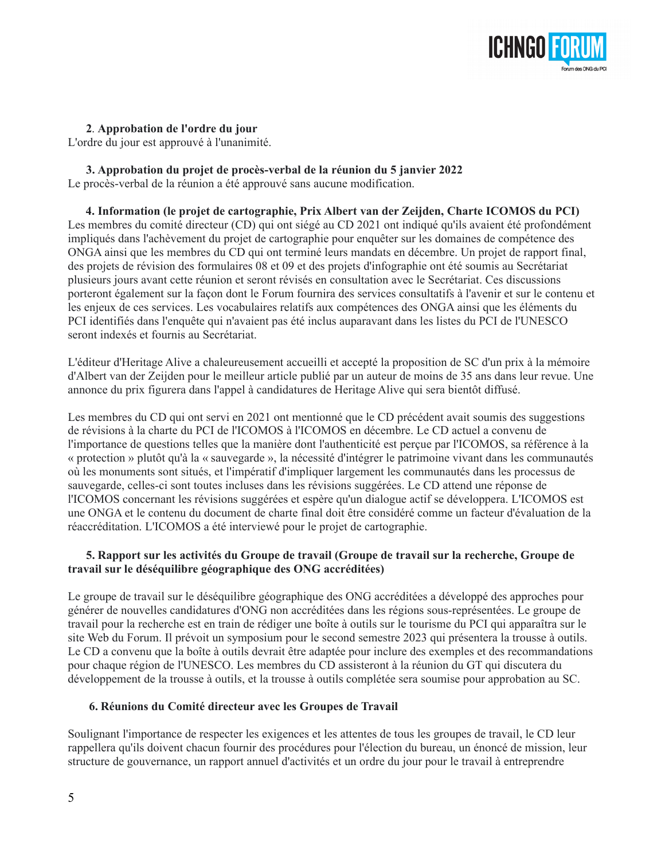

 **2**. **Approbation de l'ordre du jour**

L'ordre du jour est approuvé à l'unanimité.

 **3. Approbation du projet de procès-verbal de la réunion du 5 janvier 2022** Le procès-verbal de la réunion a été approuvé sans aucune modification.

 **4. Information (le projet de cartographie, Prix Albert van der Zeijden, Charte ICOMOS du PCI)** Les membres du comité directeur (CD) qui ont siégé au CD 2021 ont indiqué qu'ils avaient été profondément impliqués dans l'achèvement du projet de cartographie pour enquêter sur les domaines de compétence des ONGA ainsi que les membres du CD qui ont terminé leurs mandats en décembre. Un projet de rapport final, des projets de révision des formulaires 08 et 09 et des projets d'infographie ont été soumis au Secrétariat plusieurs jours avant cette réunion et seront révisés en consultation avec le Secrétariat. Ces discussions porteront également sur la façon dont le Forum fournira des services consultatifs à l'avenir et sur le contenu et les enjeux de ces services. Les vocabulaires relatifs aux compétences des ONGA ainsi que les éléments du PCI identifiés dans l'enquête qui n'avaient pas été inclus auparavant dans les listes du PCI de l'UNESCO seront indexés et fournis au Secrétariat.

L'éditeur d'Heritage Alive a chaleureusement accueilli et accepté la proposition de SC d'un prix à la mémoire d'Albert van der Zeijden pour le meilleur article publié par un auteur de moins de 35 ans dans leur revue. Une annonce du prix figurera dans l'appel à candidatures de Heritage Alive qui sera bientôt diffusé.

Les membres du CD qui ont servi en 2021 ont mentionné que le CD précédent avait soumis des suggestions de révisions à la charte du PCI de l'ICOMOS à l'ICOMOS en décembre. Le CD actuel a convenu de l'importance de questions telles que la manière dont l'authenticité est perçue par l'ICOMOS, sa référence à la « protection » plutôt qu'à la « sauvegarde », la nécessité d'intégrer le patrimoine vivant dans les communautés où les monuments sont situés, et l'impératif d'impliquer largement les communautés dans les processus de sauvegarde, celles-ci sont toutes incluses dans les révisions suggérées. Le CD attend une réponse de l'ICOMOS concernant les révisions suggérées et espère qu'un dialogue actif se développera. L'ICOMOS est une ONGA et le contenu du document de charte final doit être considéré comme un facteur d'évaluation de la réaccréditation. L'ICOMOS a été interviewé pour le projet de cartographie.

### **5. Rapport sur les activités du Groupe de travail (Groupe de travail sur la recherche, Groupe de travail sur le déséquilibre géographique des ONG accréditées)**

Le groupe de travail sur le déséquilibre géographique des ONG accréditées a développé des approches pour générer de nouvelles candidatures d'ONG non accréditées dans les régions sous-représentées. Le groupe de travail pour la recherche est en train de rédiger une boîte à outils sur le tourisme du PCI qui apparaîtra sur le site Web du Forum. Il prévoit un symposium pour le second semestre 2023 qui présentera la trousse à outils. Le CD a convenu que la boîte à outils devrait être adaptée pour inclure des exemples et des recommandations pour chaque région de l'UNESCO. Les membres du CD assisteront à la réunion du GT qui discutera du développement de la trousse à outils, et la trousse à outils complétée sera soumise pour approbation au SC.

# **6. Réunions du Comité directeur avec les Groupes de Travail**

Soulignant l'importance de respecter les exigences et les attentes de tous les groupes de travail, le CD leur rappellera qu'ils doivent chacun fournir des procédures pour l'élection du bureau, un énoncé de mission, leur structure de gouvernance, un rapport annuel d'activités et un ordre du jour pour le travail à entreprendre